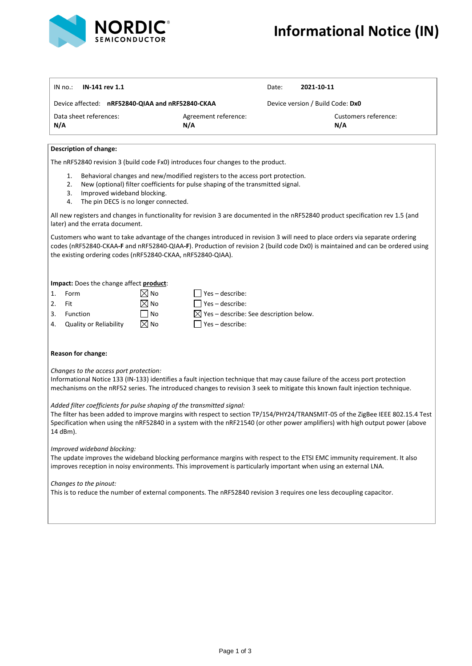

| IN-141 rev 1.1<br>IN no.:                                                                                                                                                                                                                                                                                                                             |                                                                 | Date:                            | 2021-10-11                  |
|-------------------------------------------------------------------------------------------------------------------------------------------------------------------------------------------------------------------------------------------------------------------------------------------------------------------------------------------------------|-----------------------------------------------------------------|----------------------------------|-----------------------------|
| Device affected: nRF52840-QIAA and nRF52840-CKAA                                                                                                                                                                                                                                                                                                      |                                                                 | Device version / Build Code: Dx0 |                             |
| Data sheet references:<br>N/A                                                                                                                                                                                                                                                                                                                         | Agreement reference:<br>N/A                                     |                                  | Customers reference:<br>N/A |
| <b>Description of change:</b>                                                                                                                                                                                                                                                                                                                         |                                                                 |                                  |                             |
| The nRF52840 revision 3 (build code Fx0) introduces four changes to the product.                                                                                                                                                                                                                                                                      |                                                                 |                                  |                             |
| Behavioral changes and new/modified registers to the access port protection.<br>1.<br>2.<br>New (optional) filter coefficients for pulse shaping of the transmitted signal.<br>3.<br>Improved wideband blocking.<br>4.<br>The pin DEC5 is no longer connected.                                                                                        |                                                                 |                                  |                             |
| All new registers and changes in functionality for revision 3 are documented in the nRF52840 product specification rev 1.5 (and<br>later) and the errata document.                                                                                                                                                                                    |                                                                 |                                  |                             |
| Customers who want to take advantage of the changes introduced in revision 3 will need to place orders via separate ordering<br>codes (nRF52840-CKAA-F and nRF52840-QIAA-F). Production of revision 2 (build code Dx0) is maintained and can be ordered using<br>the existing ordering codes (nRF52840-CKAA, nRF52840-QIAA).                          |                                                                 |                                  |                             |
| Impact: Does the change affect product:                                                                                                                                                                                                                                                                                                               |                                                                 |                                  |                             |
| Form<br>1.                                                                                                                                                                                                                                                                                                                                            | $\boxtimes$ No<br>$Yes - describe:$                             |                                  |                             |
| 2.<br>Fit                                                                                                                                                                                                                                                                                                                                             | ⊠ No<br>Yes-describe:                                           |                                  |                             |
| 3.<br>Function                                                                                                                                                                                                                                                                                                                                        | <b>No</b><br>$\boxtimes$ Yes – describe: See description below. |                                  |                             |
| Quality or Reliability<br>4.                                                                                                                                                                                                                                                                                                                          | $\boxtimes$ No<br>Yes-describe:                                 |                                  |                             |
| Reason for change:                                                                                                                                                                                                                                                                                                                                    |                                                                 |                                  |                             |
| Changes to the access port protection:<br>Informational Notice 133 (IN-133) identifies a fault injection technique that may cause failure of the access port protection<br>mechanisms on the nRF52 series. The introduced changes to revision 3 seek to mitigate this known fault injection technique.                                                |                                                                 |                                  |                             |
| Added filter coefficients for pulse shaping of the transmitted signal:<br>The filter has been added to improve margins with respect to section TP/154/PHY24/TRANSMIT-05 of the ZigBee IEEE 802.15.4 Test<br>Specification when using the nRF52840 in a system with the nRF21540 (or other power amplifiers) with high output power (above<br>14 dBm). |                                                                 |                                  |                             |

*Improved wideband blocking:* 

The update improves the wideband blocking performance margins with respect to the ETSI EMC immunity requirement. It also improves reception in noisy environments. This improvement is particularly important when using an external LNA.

*Changes to the pinout:* 

This is to reduce the number of external components. The nRF52840 revision 3 requires one less decoupling capacitor.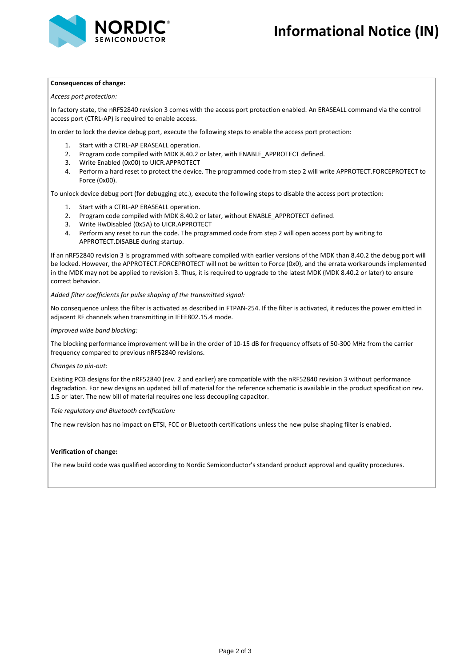



### **Consequences of change:**

*Access port protection:*

In factory state, the nRF52840 revision 3 comes with the access port protection enabled. An ERASEALL command via the control access port (CTRL-AP) is required to enable access.

In order to lock the device debug port, execute the following steps to enable the access port protection:

- 1. Start with a CTRL-AP ERASEALL operation.
- 2. Program code compiled with MDK 8.40.2 or later, with ENABLE\_APPROTECT defined.
- 3. Write Enabled (0x00) to UICR.APPROTECT
- 4. Perform a hard reset to protect the device. The programmed code from step 2 will write APPROTECT.FORCEPROTECT to Force (0x00).

To unlock device debug port (for debugging etc.), execute the following steps to disable the access port protection:

- 1. Start with a CTRL-AP ERASEALL operation.
- 2. Program code compiled with MDK 8.40.2 or later, without ENABLE\_APPROTECT defined.
- 3. Write HwDisabled (0x5A) to UICR.APPROTECT
- 4. Perform any reset to run the code. The programmed code from step 2 will open access port by writing to APPROTECT.DISABLE during startup.

If an nRF52840 revision 3 is programmed with software compiled with earlier versions of the MDK than 8.40.2 the debug port will be locked. However, the APPROTECT.FORCEPROTECT will not be written to Force (0x0), and the errata workarounds implemented in the MDK may not be applied to revision 3. Thus, it is required to upgrade to the latest MDK (MDK 8.40.2 or later) to ensure correct behavior.

## *Added filter coefficients for pulse shaping of the transmitted signal:*

No consequence unless the filter is activated as described in FTPAN-254. If the filter is activated, it reduces the power emitted in adjacent RF channels when transmitting in IEEE802.15.4 mode.

## *Improved wide band blocking:*

The blocking performance improvement will be in the order of 10-15 dB for frequency offsets of 50-300 MHz from the carrier frequency compared to previous nRF52840 revisions.

### *Changes to pin-out:*

Existing PCB designs for the nRF52840 (rev. 2 and earlier) are compatible with the nRF52840 revision 3 without performance degradation. For new designs an updated bill of material for the reference schematic is available in the product specification rev. 1.5 or later. The new bill of material requires one less decoupling capacitor.

*Tele regulatory and Bluetooth certification:*

The new revision has no impact on ETSI, FCC or Bluetooth certifications unless the new pulse shaping filter is enabled.

# **Verification of change:**

The new build code was qualified according to Nordic Semiconductor's standard product approval and quality procedures.